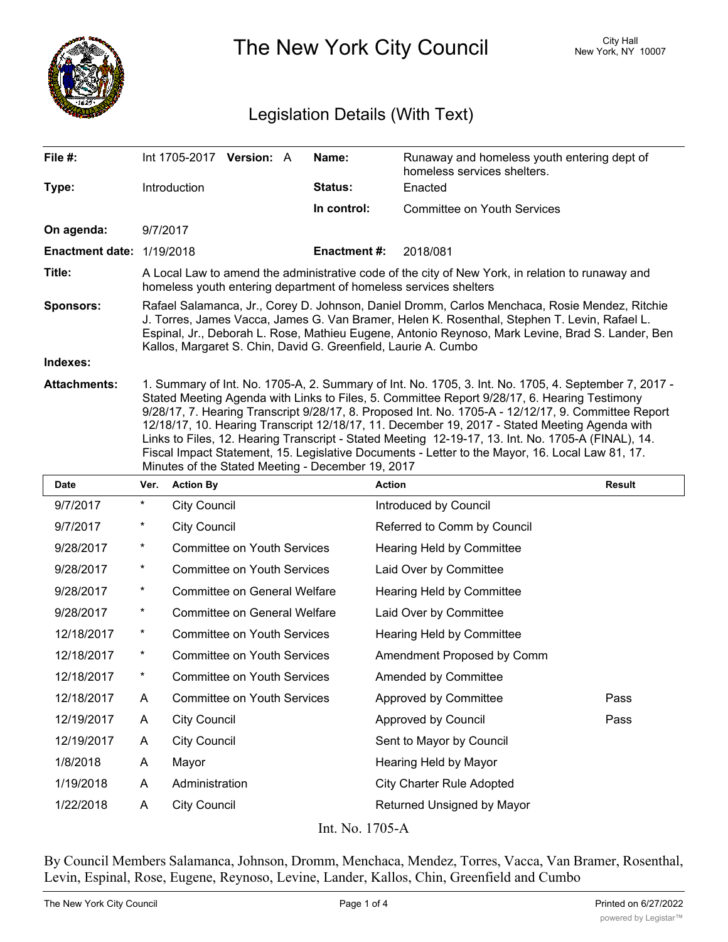

The New York City Council New York, NY 10007

## Legislation Details (With Text)

| File #:                          | Int 1705-2017 Version: A                                                                                                                                                                                                                                                                                                                                                                                                                                                                                                                                                                                                                                                   |  |  | Name:               | Runaway and homeless youth entering dept of<br>homeless services shelters. |  |  |
|----------------------------------|----------------------------------------------------------------------------------------------------------------------------------------------------------------------------------------------------------------------------------------------------------------------------------------------------------------------------------------------------------------------------------------------------------------------------------------------------------------------------------------------------------------------------------------------------------------------------------------------------------------------------------------------------------------------------|--|--|---------------------|----------------------------------------------------------------------------|--|--|
| Type:                            | Introduction                                                                                                                                                                                                                                                                                                                                                                                                                                                                                                                                                                                                                                                               |  |  | <b>Status:</b>      | Enacted                                                                    |  |  |
|                                  |                                                                                                                                                                                                                                                                                                                                                                                                                                                                                                                                                                                                                                                                            |  |  | In control:         | <b>Committee on Youth Services</b>                                         |  |  |
| On agenda:                       | 9/7/2017                                                                                                                                                                                                                                                                                                                                                                                                                                                                                                                                                                                                                                                                   |  |  |                     |                                                                            |  |  |
| <b>Enactment date: 1/19/2018</b> |                                                                                                                                                                                                                                                                                                                                                                                                                                                                                                                                                                                                                                                                            |  |  | <b>Enactment #:</b> | 2018/081                                                                   |  |  |
| Title:                           | A Local Law to amend the administrative code of the city of New York, in relation to runaway and<br>homeless youth entering department of homeless services shelters                                                                                                                                                                                                                                                                                                                                                                                                                                                                                                       |  |  |                     |                                                                            |  |  |
| <b>Sponsors:</b>                 | Rafael Salamanca, Jr., Corey D. Johnson, Daniel Dromm, Carlos Menchaca, Rosie Mendez, Ritchie<br>J. Torres, James Vacca, James G. Van Bramer, Helen K. Rosenthal, Stephen T. Levin, Rafael L.<br>Espinal, Jr., Deborah L. Rose, Mathieu Eugene, Antonio Reynoso, Mark Levine, Brad S. Lander, Ben<br>Kallos, Margaret S. Chin, David G. Greenfield, Laurie A. Cumbo                                                                                                                                                                                                                                                                                                        |  |  |                     |                                                                            |  |  |
| Indexes:                         |                                                                                                                                                                                                                                                                                                                                                                                                                                                                                                                                                                                                                                                                            |  |  |                     |                                                                            |  |  |
| <b>Attachments:</b>              | 1. Summary of Int. No. 1705-A, 2. Summary of Int. No. 1705, 3. Int. No. 1705, 4. September 7, 2017 -<br>Stated Meeting Agenda with Links to Files, 5. Committee Report 9/28/17, 6. Hearing Testimony<br>9/28/17, 7. Hearing Transcript 9/28/17, 8. Proposed Int. No. 1705-A - 12/12/17, 9. Committee Report<br>12/18/17, 10. Hearing Transcript 12/18/17, 11. December 19, 2017 - Stated Meeting Agenda with<br>Links to Files, 12. Hearing Transcript - Stated Meeting 12-19-17, 13. Int. No. 1705-A (FINAL), 14.<br>Fiscal Impact Statement, 15. Legislative Documents - Letter to the Mayor, 16. Local Law 81, 17.<br>Minutes of the Stated Meeting - December 19, 2017 |  |  |                     |                                                                            |  |  |

| <b>Date</b> | Ver.     | <b>Action By</b>                    | <b>Action</b>                    | <b>Result</b> |
|-------------|----------|-------------------------------------|----------------------------------|---------------|
| 9/7/2017    | $\star$  | <b>City Council</b>                 | Introduced by Council            |               |
| 9/7/2017    | $^\ast$  | <b>City Council</b>                 | Referred to Comm by Council      |               |
| 9/28/2017   | $\star$  | <b>Committee on Youth Services</b>  | Hearing Held by Committee        |               |
| 9/28/2017   | $\ast$   | <b>Committee on Youth Services</b>  | Laid Over by Committee           |               |
| 9/28/2017   | $\ast$   | <b>Committee on General Welfare</b> | Hearing Held by Committee        |               |
| 9/28/2017   | $^\star$ | Committee on General Welfare        | Laid Over by Committee           |               |
| 12/18/2017  | $\ast$   | Committee on Youth Services         | Hearing Held by Committee        |               |
| 12/18/2017  | $^\ast$  | <b>Committee on Youth Services</b>  | Amendment Proposed by Comm       |               |
| 12/18/2017  | $\ast$   | Committee on Youth Services         | Amended by Committee             |               |
| 12/18/2017  | A        | <b>Committee on Youth Services</b>  | Approved by Committee            | Pass          |
| 12/19/2017  | A        | <b>City Council</b>                 | Approved by Council              | Pass          |
| 12/19/2017  | A        | <b>City Council</b>                 | Sent to Mayor by Council         |               |
| 1/8/2018    | A        | Mayor                               | Hearing Held by Mayor            |               |
| 1/19/2018   | A        | Administration                      | <b>City Charter Rule Adopted</b> |               |
| 1/22/2018   | A        | <b>City Council</b>                 | Returned Unsigned by Mayor       |               |
|             |          |                                     |                                  |               |

Int. No. 1705-A

By Council Members Salamanca, Johnson, Dromm, Menchaca, Mendez, Torres, Vacca, Van Bramer, Rosenthal, Levin, Espinal, Rose, Eugene, Reynoso, Levine, Lander, Kallos, Chin, Greenfield and Cumbo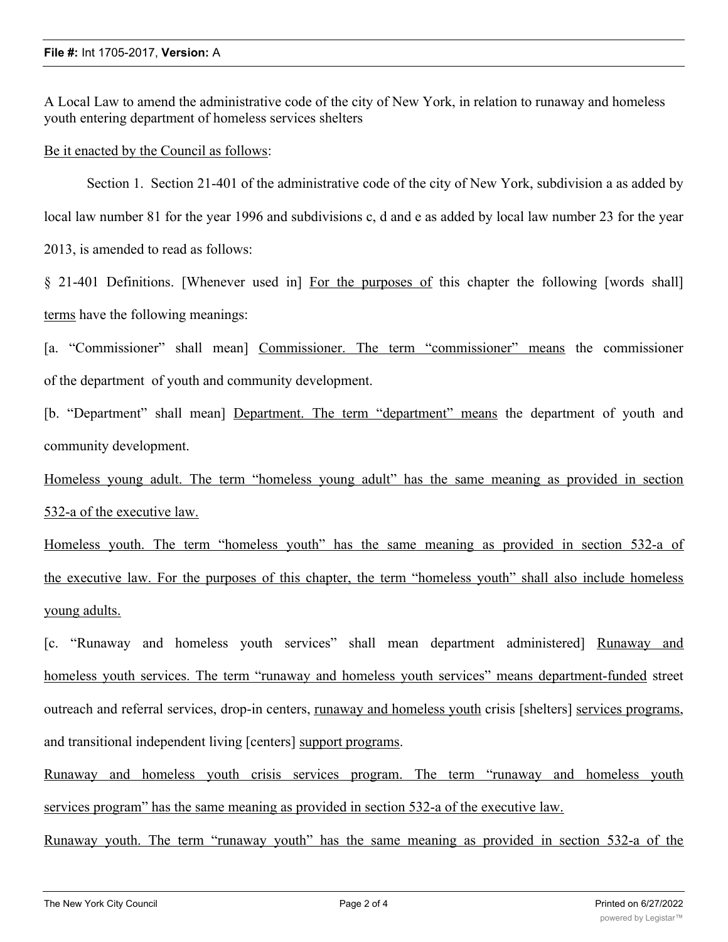A Local Law to amend the administrative code of the city of New York, in relation to runaway and homeless youth entering department of homeless services shelters

Be it enacted by the Council as follows:

Section 1. Section 21-401 of the administrative code of the city of New York, subdivision a as added by local law number 81 for the year 1996 and subdivisions c, d and e as added by local law number 23 for the year 2013, is amended to read as follows:

§ 21-401 Definitions. [Whenever used in] For the purposes of this chapter the following [words shall] terms have the following meanings:

[a. "Commissioner" shall mean] Commissioner. The term "commissioner" means the commissioner of the department of youth and community development.

[b. "Department" shall mean] Department. The term "department" means the department of youth and community development.

Homeless young adult. The term "homeless young adult" has the same meaning as provided in section 532-a of the executive law.

Homeless youth. The term "homeless youth" has the same meaning as provided in section 532-a of the executive law. For the purposes of this chapter, the term "homeless youth" shall also include homeless young adults.

[c. "Runaway and homeless youth services" shall mean department administered] Runaway and homeless youth services. The term "runaway and homeless youth services" means department-funded street outreach and referral services, drop-in centers, runaway and homeless youth crisis [shelters] services programs, and transitional independent living [centers] support programs.

Runaway and homeless youth crisis services program. The term "runaway and homeless youth services program" has the same meaning as provided in section 532-a of the executive law.

Runaway youth. The term "runaway youth" has the same meaning as provided in section 532-a of the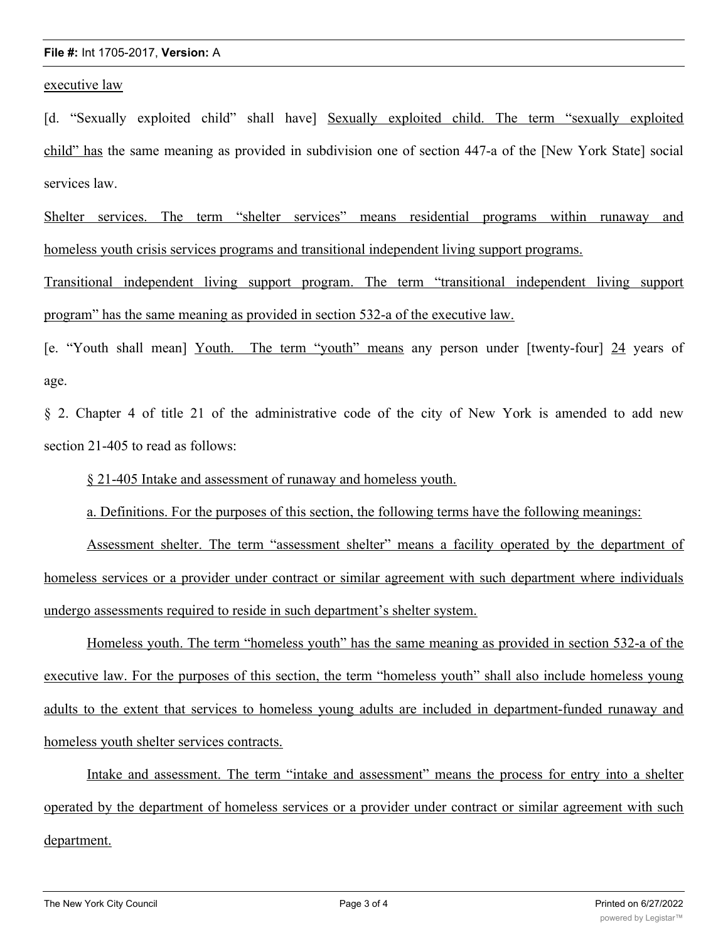## **File #:** Int 1705-2017, **Version:** A

executive law

[d. "Sexually exploited child" shall have] Sexually exploited child. The term "sexually exploited child" has the same meaning as provided in subdivision one of section 447-a of the [New York State] social services law.

Shelter services. The term "shelter services" means residential programs within runaway and homeless youth crisis services programs and transitional independent living support programs.

Transitional independent living support program. The term "transitional independent living support program" has the same meaning as provided in section 532-a of the executive law.

[e. "Youth shall mean] Youth. The term "youth" means any person under [twenty-four] 24 years of age.

§ 2. Chapter 4 of title 21 of the administrative code of the city of New York is amended to add new section 21-405 to read as follows:

§ 21-405 Intake and assessment of runaway and homeless youth.

a. Definitions. For the purposes of this section, the following terms have the following meanings:

Assessment shelter. The term "assessment shelter" means a facility operated by the department of homeless services or a provider under contract or similar agreement with such department where individuals undergo assessments required to reside in such department's shelter system.

Homeless youth. The term "homeless youth" has the same meaning as provided in section 532-a of the executive law. For the purposes of this section, the term "homeless youth" shall also include homeless young adults to the extent that services to homeless young adults are included in department-funded runaway and homeless youth shelter services contracts.

Intake and assessment. The term "intake and assessment" means the process for entry into a shelter operated by the department of homeless services or a provider under contract or similar agreement with such department.